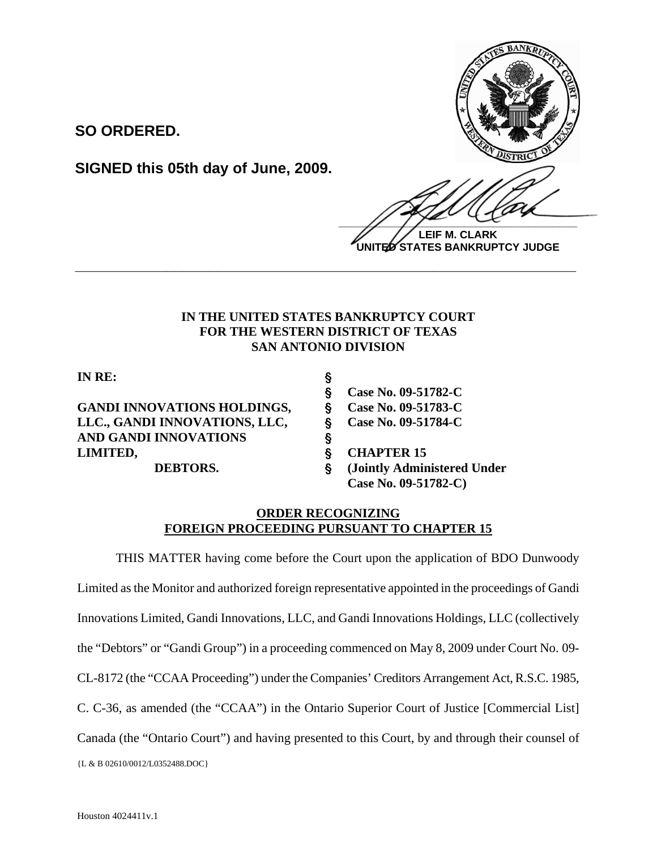

**LEIF M. CLARK UNITED STATES BANKRUPTCY JUDGE**

## **IN THE UNITED STATES BANKRUPTCY COURT FOR THE WESTERN DISTRICT OF TEXAS SAN ANTONIO DIVISION**

**\_\_\_\_\_\_\_\_\_\_\_\_\_\_\_\_\_\_\_\_\_\_\_\_\_\_\_\_\_\_\_\_\_\_\_\_\_\_\_\_\_\_\_\_\_\_\_\_\_\_\_\_\_\_\_\_\_\_\_\_**

**IN RE:** '

**SO ORDERED.**

GANDI INNOVATIONS HOLDINGS, § Case No. 09-51783-C LLC., GANDI INNOVATIONS, LLC, § Case No. 09-51784-C **AND GANDI INNOVATIONS** ' LIMITED, S CHAPTER 15

**SIGNED this 05th day of June, 2009.**

' **Case No. 09-51782-C DEBTORS.** ' **(Jointly Administered Under Case No. 09-51782-C)** 

## **ORDER RECOGNIZING FOREIGN PROCEEDING PURSUANT TO CHAPTER 15**

{L & B 02610/0012/L0352488.DOC} THIS MATTER having come before the Court upon the application of BDO Dunwoody Limited as the Monitor and authorized foreign representative appointed in the proceedings of Gandi Innovations Limited, Gandi Innovations, LLC, and Gandi Innovations Holdings, LLC (collectively the "Debtors" or "Gandi Group") in a proceeding commenced on May 8, 2009 under Court No. 09- CL-8172 (the "CCAA Proceeding") under the Companies' Creditors Arrangement Act, R.S.C. 1985, C. C-36, as amended (the "CCAA") in the Ontario Superior Court of Justice [Commercial List] Canada (the "Ontario Court") and having presented to this Court, by and through their counsel of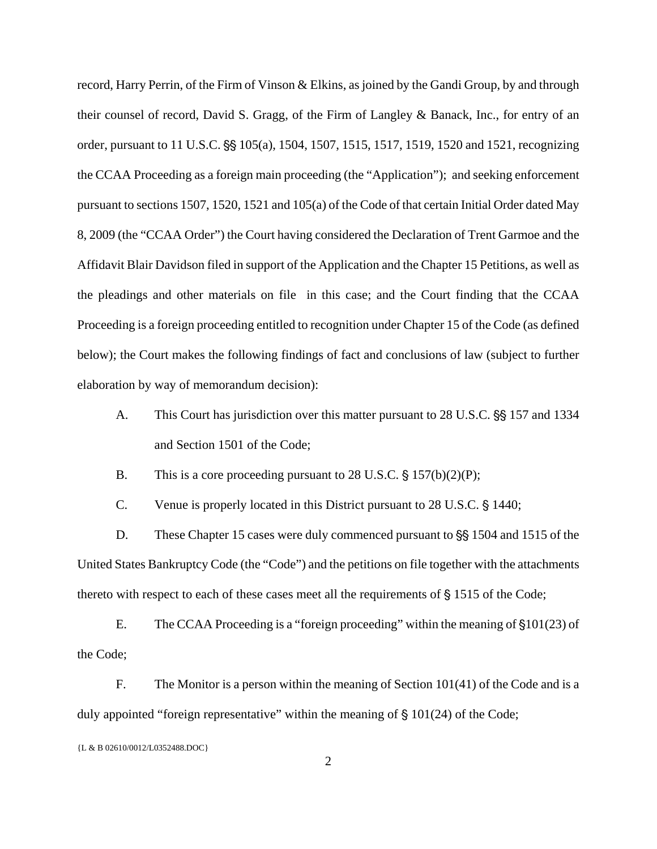record, Harry Perrin, of the Firm of Vinson & Elkins, as joined by the Gandi Group, by and through their counsel of record, David S. Gragg, of the Firm of Langley & Banack, Inc., for entry of an order, pursuant to 11 U.S.C.  $\frac{55}{105(a)}$ , 1504, 1507, 1515, 1517, 1519, 1520 and 1521, recognizing the CCAA Proceeding as a foreign main proceeding (the "Application"); and seeking enforcement pursuant to sections 1507, 1520, 1521 and 105(a) of the Code of that certain Initial Order dated May 8, 2009 (the "CCAA Order") the Court having considered the Declaration of Trent Garmoe and the Affidavit Blair Davidson filed in support of the Application and the Chapter 15 Petitions, as well as the pleadings and other materials on file in this case; and the Court finding that the CCAA Proceeding is a foreign proceeding entitled to recognition under Chapter 15 of the Code (as defined below); the Court makes the following findings of fact and conclusions of law (subject to further elaboration by way of memorandum decision):

A. This Court has jurisdiction over this matter pursuant to 28 U.S.C.  $\S$ § 157 and 1334 and Section 1501 of the Code;

B. This is a core proceeding pursuant to 28 U.S.C.  $\S 157(b)(2)(P)$ ;

C. Venue is properly located in this District pursuant to 28 U.S.C. § 1440;

D. These Chapter 15 cases were duly commenced pursuant to  $\S$  1504 and 1515 of the United States Bankruptcy Code (the "Code") and the petitions on file together with the attachments thereto with respect to each of these cases meet all the requirements of  $\S$  1515 of the Code;

E. The CCAA Proceeding is a "foreign proceeding" within the meaning of  $\S 101(23)$  of the Code;

F. The Monitor is a person within the meaning of Section 101(41) of the Code and is a duly appointed "foreign representative" within the meaning of  $\S 101(24)$  of the Code;

<sup>{</sup>L & B 02610/0012/L0352488.DOC}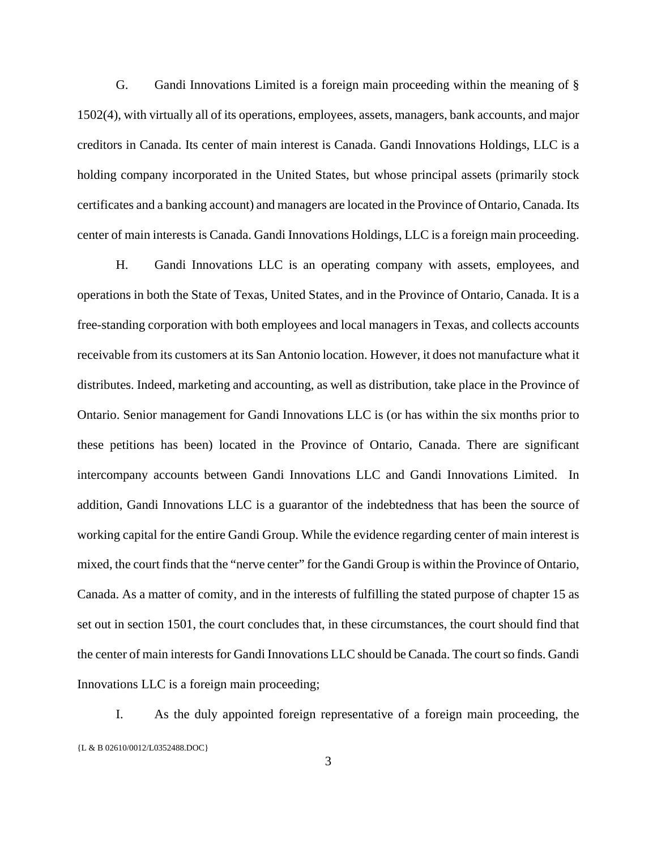G. Gandi Innovations Limited is a foreign main proceeding within the meaning of § 1502(4), with virtually all of its operations, employees, assets, managers, bank accounts, and major creditors in Canada. Its center of main interest is Canada. Gandi Innovations Holdings, LLC is a holding company incorporated in the United States, but whose principal assets (primarily stock certificates and a banking account) and managers are located in the Province of Ontario, Canada. Its center of main interests is Canada. Gandi Innovations Holdings, LLC is a foreign main proceeding.

H. Gandi Innovations LLC is an operating company with assets, employees, and operations in both the State of Texas, United States, and in the Province of Ontario, Canada. It is a free-standing corporation with both employees and local managers in Texas, and collects accounts receivable from its customers at its San Antonio location. However, it does not manufacture what it distributes. Indeed, marketing and accounting, as well as distribution, take place in the Province of Ontario. Senior management for Gandi Innovations LLC is (or has within the six months prior to these petitions has been) located in the Province of Ontario, Canada. There are significant intercompany accounts between Gandi Innovations LLC and Gandi Innovations Limited. In addition, Gandi Innovations LLC is a guarantor of the indebtedness that has been the source of working capital for the entire Gandi Group. While the evidence regarding center of main interest is mixed, the court finds that the "nerve center" for the Gandi Group is within the Province of Ontario, Canada. As a matter of comity, and in the interests of fulfilling the stated purpose of chapter 15 as set out in section 1501, the court concludes that, in these circumstances, the court should find that the center of main interests for Gandi Innovations LLC should be Canada. The court so finds. Gandi Innovations LLC is a foreign main proceeding;

{L & B 02610/0012/L0352488.DOC} I. As the duly appointed foreign representative of a foreign main proceeding, the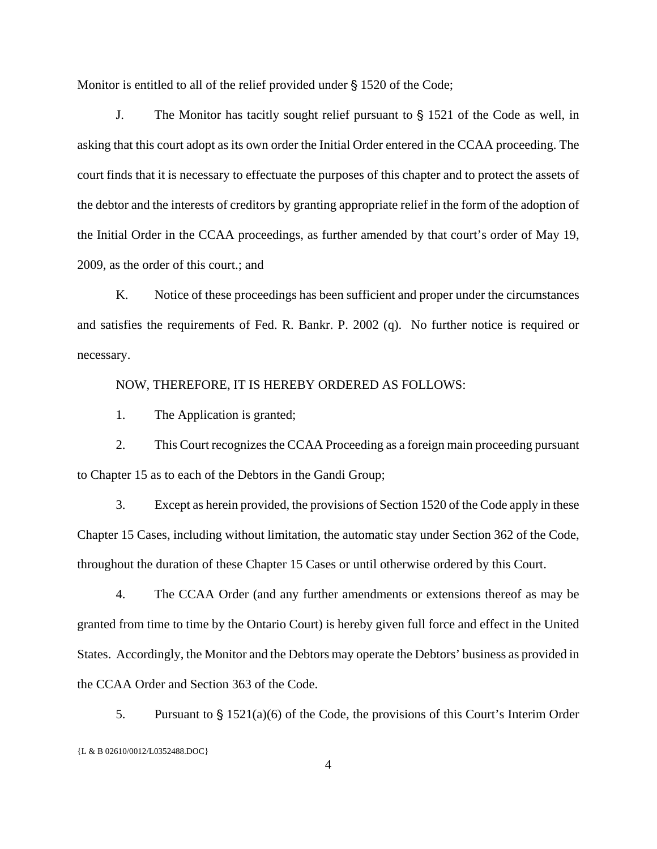Monitor is entitled to all of the relief provided under  $\S$  1520 of the Code;

J. The Monitor has tacitly sought relief pursuant to  $\S$  1521 of the Code as well, in asking that this court adopt as its own order the Initial Order entered in the CCAA proceeding. The court finds that it is necessary to effectuate the purposes of this chapter and to protect the assets of the debtor and the interests of creditors by granting appropriate relief in the form of the adoption of the Initial Order in the CCAA proceedings, as further amended by that court's order of May 19, 2009, as the order of this court.; and

K. Notice of these proceedings has been sufficient and proper under the circumstances and satisfies the requirements of Fed. R. Bankr. P. 2002 (q). No further notice is required or necessary.

NOW, THEREFORE, IT IS HEREBY ORDERED AS FOLLOWS:

1. The Application is granted;

2. This Court recognizes the CCAA Proceeding as a foreign main proceeding pursuant to Chapter 15 as to each of the Debtors in the Gandi Group;

3. Except as herein provided, the provisions of Section 1520 of the Code apply in these Chapter 15 Cases, including without limitation, the automatic stay under Section 362 of the Code, throughout the duration of these Chapter 15 Cases or until otherwise ordered by this Court.

4. The CCAA Order (and any further amendments or extensions thereof as may be granted from time to time by the Ontario Court) is hereby given full force and effect in the United States. Accordingly, the Monitor and the Debtors may operate the Debtors' business as provided in the CCAA Order and Section 363 of the Code.

{L & B 02610/0012/L0352488.DOC} 5. Pursuant to  $\frac{6}{5}$  1521(a)(6) of the Code, the provisions of this Court's Interim Order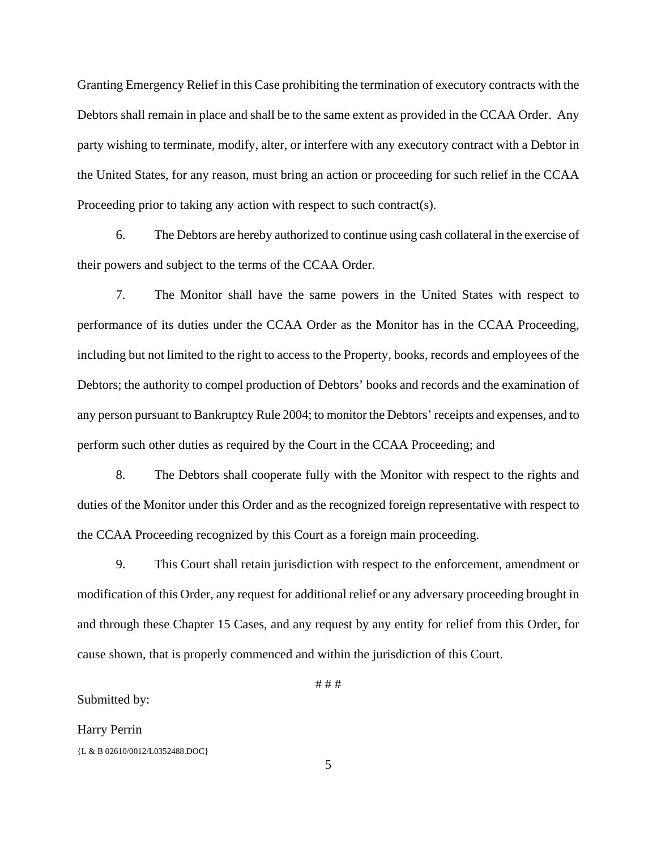Granting Emergency Relief in this Case prohibiting the termination of executory contracts with the Debtors shall remain in place and shall be to the same extent as provided in the CCAA Order. Any party wishing to terminate, modify, alter, or interfere with any executory contract with a Debtor in the United States, for any reason, must bring an action or proceeding for such relief in the CCAA Proceeding prior to taking any action with respect to such contract(s).

6. The Debtors are hereby authorized to continue using cash collateral in the exercise of their powers and subject to the terms of the CCAA Order.

7. The Monitor shall have the same powers in the United States with respect to performance of its duties under the CCAA Order as the Monitor has in the CCAA Proceeding, including but not limited to the right to access to the Property, books, records and employees of the Debtors; the authority to compel production of Debtors' books and records and the examination of any person pursuant to Bankruptcy Rule 2004; to monitor the Debtors' receipts and expenses, and to perform such other duties as required by the Court in the CCAA Proceeding; and

8. The Debtors shall cooperate fully with the Monitor with respect to the rights and duties of the Monitor under this Order and as the recognized foreign representative with respect to the CCAA Proceeding recognized by this Court as a foreign main proceeding.

9. This Court shall retain jurisdiction with respect to the enforcement, amendment or modification of this Order, any request for additional relief or any adversary proceeding brought in and through these Chapter 15 Cases, and any request by any entity for relief from this Order, for cause shown, that is properly commenced and within the jurisdiction of this Court.

 $# # #$ 

Submitted by:

{L & B 02610/0012/L0352488.DOC} Harry Perrin

5